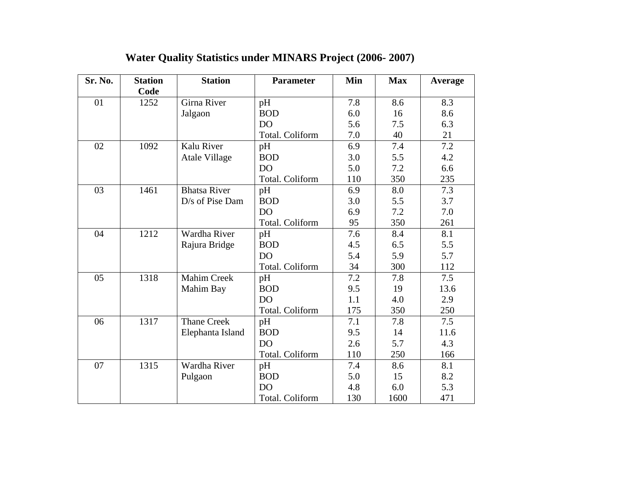| Sr. No. | <b>Station</b><br>Code | <b>Station</b>       | <b>Parameter</b> | Min | <b>Max</b> | Average |
|---------|------------------------|----------------------|------------------|-----|------------|---------|
| 01      | 1252                   | Girna River          | pH               | 7.8 | 8.6        | 8.3     |
|         |                        | Jalgaon              | <b>BOD</b>       | 6.0 | 16         | 8.6     |
|         |                        |                      | DO               | 5.6 | 7.5        | 6.3     |
|         |                        |                      | Total. Coliform  | 7.0 | 40         | 21      |
| 02      | 1092                   | Kalu River           | pH               | 6.9 | 7.4        | 7.2     |
|         |                        | <b>Atale Village</b> | <b>BOD</b>       | 3.0 | 5.5        | 4.2     |
|         |                        |                      | D <sub>O</sub>   | 5.0 | 7.2        | 6.6     |
|         |                        |                      | Total. Coliform  | 110 | 350        | 235     |
| 03      | 1461                   | <b>Bhatsa River</b>  | pH               | 6.9 | 8.0        | 7.3     |
|         |                        | D/s of Pise Dam      | <b>BOD</b>       | 3.0 | 5.5        | 3.7     |
|         |                        |                      | DO               | 6.9 | 7.2        | 7.0     |
|         |                        |                      | Total. Coliform  | 95  | 350        | 261     |
| 04      | 1212                   | Wardha River         | pH               | 7.6 | 8.4        | 8.1     |
|         |                        | Rajura Bridge        | <b>BOD</b>       | 4.5 | 6.5        | 5.5     |
|         |                        |                      | D <sub>O</sub>   | 5.4 | 5.9        | 5.7     |
|         |                        |                      | Total. Coliform  | 34  | 300        | 112     |
| 05      | 1318                   | <b>Mahim Creek</b>   | pH               | 7.2 | 7.8        | 7.5     |
|         |                        | Mahim Bay            | <b>BOD</b>       | 9.5 | 19         | 13.6    |
|         |                        |                      | D <sub>O</sub>   | 1.1 | 4.0        | 2.9     |
|         |                        |                      | Total. Coliform  | 175 | 350        | 250     |
| 06      | 1317                   | <b>Thane Creek</b>   | pH               | 7.1 | 7.8        | 7.5     |
|         |                        | Elephanta Island     | <b>BOD</b>       | 9.5 | 14         | 11.6    |
|         |                        |                      | D <sub>O</sub>   | 2.6 | 5.7        | 4.3     |
|         |                        |                      | Total. Coliform  | 110 | 250        | 166     |
| 07      | 1315                   | Wardha River         | pH               | 7.4 | 8.6        | 8.1     |
|         |                        | Pulgaon              | <b>BOD</b>       | 5.0 | 15         | 8.2     |
|         |                        |                      | D <sub>O</sub>   | 4.8 | 6.0        | 5.3     |
|         |                        |                      | Total. Coliform  | 130 | 1600       | 471     |

## **Water Quality Statistics under MINARS Project (2006- 2007)**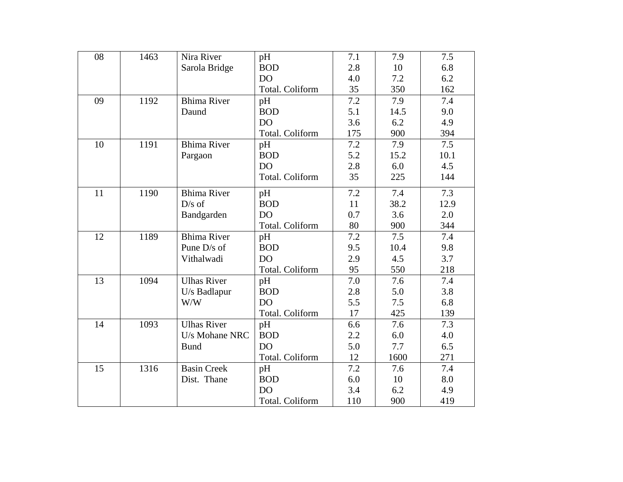| 08 | 1463 | Nira River         | pH              | 7.1 | 7.9  | 7.5  |
|----|------|--------------------|-----------------|-----|------|------|
|    |      | Sarola Bridge      | <b>BOD</b>      | 2.8 | 10   | 6.8  |
|    |      |                    | DO <sub>1</sub> | 4.0 | 7.2  | 6.2  |
|    |      |                    | Total. Coliform | 35  | 350  | 162  |
| 09 | 1192 | <b>Bhima River</b> | pH              | 7.2 | 7.9  | 7.4  |
|    |      | Daund              | <b>BOD</b>      | 5.1 | 14.5 | 9.0  |
|    |      |                    | DO <sub></sub>  | 3.6 | 6.2  | 4.9  |
|    |      |                    | Total. Coliform | 175 | 900  | 394  |
| 10 | 1191 | <b>Bhima River</b> | pH              | 7.2 | 7.9  | 7.5  |
|    |      | Pargaon            | <b>BOD</b>      | 5.2 | 15.2 | 10.1 |
|    |      |                    | <b>DO</b>       | 2.8 | 6.0  | 4.5  |
|    |      |                    | Total. Coliform | 35  | 225  | 144  |
| 11 | 1190 | <b>Bhima River</b> | pH              | 7.2 | 7.4  | 7.3  |
|    |      | $D/s$ of           | <b>BOD</b>      | 11  | 38.2 | 12.9 |
|    |      | Bandgarden         | <b>DO</b>       | 0.7 | 3.6  | 2.0  |
|    |      |                    | Total. Coliform | 80  | 900  | 344  |
| 12 | 1189 | <b>Bhima River</b> | pH              | 7.2 | 7.5  | 7.4  |
|    |      | Pune D/s of        | <b>BOD</b>      | 9.5 | 10.4 | 9.8  |
|    |      | Vithalwadi         | DO <sub></sub>  | 2.9 | 4.5  | 3.7  |
|    |      |                    | Total. Coliform | 95  | 550  | 218  |
| 13 | 1094 | <b>Ulhas River</b> | pH              | 7.0 | 7.6  | 7.4  |
|    |      | U/s Badlapur       | <b>BOD</b>      | 2.8 | 5.0  | 3.8  |
|    |      | W/W                | DO <sub></sub>  | 5.5 | 7.5  | 6.8  |
|    |      |                    | Total. Coliform | 17  | 425  | 139  |
| 14 | 1093 | <b>Ulhas River</b> | pH              | 6.6 | 7.6  | 7.3  |
|    |      | U/s Mohane NRC     | <b>BOD</b>      | 2.2 | 6.0  | 4.0  |
|    |      | <b>Bund</b>        | DO              | 5.0 | 7.7  | 6.5  |
|    |      |                    | Total. Coliform | 12  | 1600 | 271  |
| 15 | 1316 | <b>Basin Creek</b> | pH              | 7.2 | 7.6  | 7.4  |
|    |      | Dist. Thane        | <b>BOD</b>      | 6.0 | 10   | 8.0  |
|    |      |                    | <b>DO</b>       | 3.4 | 6.2  | 4.9  |
|    |      |                    | Total. Coliform | 110 | 900  | 419  |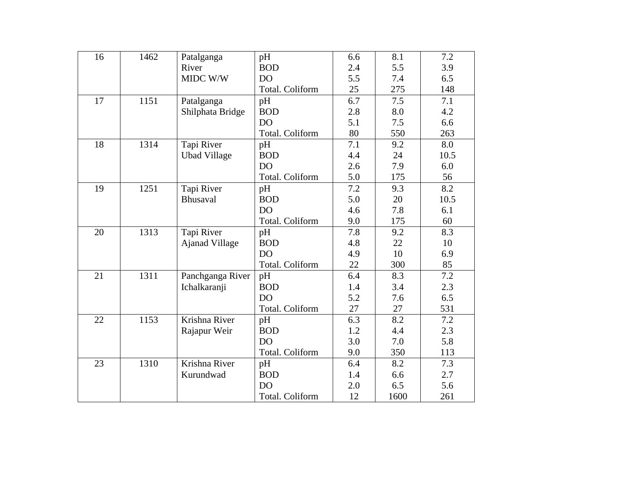| 16 | 1462 | Patalganga          | pH              | 6.6 | 8.1  | 7.2  |
|----|------|---------------------|-----------------|-----|------|------|
|    |      | River               | <b>BOD</b>      | 2.4 | 5.5  | 3.9  |
|    |      | MIDC W/W            | <b>DO</b>       | 5.5 | 7.4  | 6.5  |
|    |      |                     | Total. Coliform | 25  | 275  | 148  |
| 17 | 1151 | Patalganga          | pH              | 6.7 | 7.5  | 7.1  |
|    |      | Shilphata Bridge    | <b>BOD</b>      | 2.8 | 8.0  | 4.2  |
|    |      |                     | DO              | 5.1 | 7.5  | 6.6  |
|    |      |                     | Total. Coliform | 80  | 550  | 263  |
| 18 | 1314 | Tapi River          | pH              | 7.1 | 9.2  | 8.0  |
|    |      | <b>Ubad Village</b> | <b>BOD</b>      | 4.4 | 24   | 10.5 |
|    |      |                     | <b>DO</b>       | 2.6 | 7.9  | 6.0  |
|    |      |                     | Total. Coliform | 5.0 | 175  | 56   |
| 19 | 1251 | Tapi River          | pH              | 7.2 | 9.3  | 8.2  |
|    |      | Bhusaval            | <b>BOD</b>      | 5.0 | 20   | 10.5 |
|    |      |                     | DO              | 4.6 | 7.8  | 6.1  |
|    |      |                     | Total. Coliform | 9.0 | 175  | 60   |
| 20 | 1313 | Tapi River          | pH              | 7.8 | 9.2  | 8.3  |
|    |      | Ajanad Village      | <b>BOD</b>      | 4.8 | 22   | 10   |
|    |      |                     | DO <sub></sub>  | 4.9 | 10   | 6.9  |
|    |      |                     | Total. Coliform | 22  | 300  | 85   |
| 21 | 1311 | Panchganga River    | pH              | 6.4 | 8.3  | 7.2  |
|    |      | Ichalkaranji        | <b>BOD</b>      | 1.4 | 3.4  | 2.3  |
|    |      |                     | DO <sub></sub>  | 5.2 | 7.6  | 6.5  |
|    |      |                     | Total. Coliform | 27  | 27   | 531  |
| 22 | 1153 | Krishna River       | pH              | 6.3 | 8.2  | 7.2  |
|    |      | Rajapur Weir        | <b>BOD</b>      | 1.2 | 4.4  | 2.3  |
|    |      |                     | DO              | 3.0 | 7.0  | 5.8  |
|    |      |                     | Total. Coliform | 9.0 | 350  | 113  |
| 23 | 1310 | Krishna River       | pH              | 6.4 | 8.2  | 7.3  |
|    |      | Kurundwad           | <b>BOD</b>      | 1.4 | 6.6  | 2.7  |
|    |      |                     | DO              | 2.0 | 6.5  | 5.6  |
|    |      |                     | Total. Coliform | 12  | 1600 | 261  |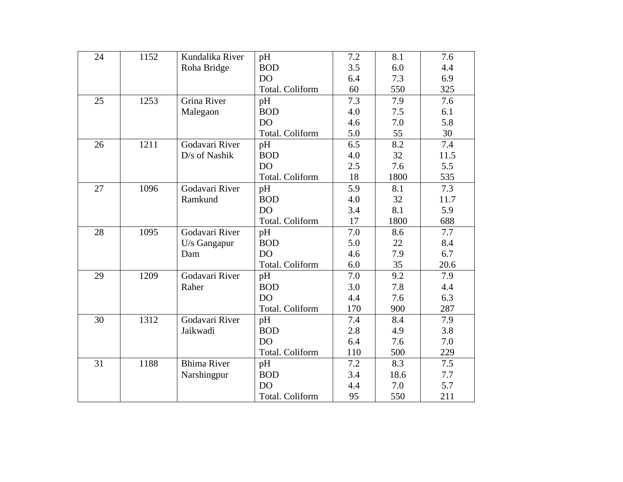| 24 | 1152 | Kundalika River    | pH              | 7.2 | 8.1  | 7.6  |
|----|------|--------------------|-----------------|-----|------|------|
|    |      | Roha Bridge        | <b>BOD</b>      | 3.5 | 6.0  | 4.4  |
|    |      |                    | D <sub>O</sub>  | 6.4 | 7.3  | 6.9  |
|    |      |                    | Total. Coliform | 60  | 550  | 325  |
| 25 | 1253 | Grina River        | pH              | 7.3 | 7.9  | 7.6  |
|    |      | Malegaon           | <b>BOD</b>      | 4.0 | 7.5  | 6.1  |
|    |      |                    | D <sub>O</sub>  | 4.6 | 7.0  | 5.8  |
|    |      |                    | Total. Coliform | 5.0 | 55   | 30   |
| 26 | 1211 | Godavari River     | pH              | 6.5 | 8.2  | 7.4  |
|    |      | D/s of Nashik      | <b>BOD</b>      | 4.0 | 32   | 11.5 |
|    |      |                    | <b>DO</b>       | 2.5 | 7.6  | 5.5  |
|    |      |                    | Total. Coliform | 18  | 1800 | 535  |
| 27 | 1096 | Godavari River     | pH              | 5.9 | 8.1  | 7.3  |
|    |      | Ramkund            | <b>BOD</b>      | 4.0 | 32   | 11.7 |
|    |      |                    | DO              | 3.4 | 8.1  | 5.9  |
|    |      |                    | Total. Coliform | 17  | 1800 | 688  |
| 28 | 1095 | Godavari River     | pH              | 7.0 | 8.6  | 7.7  |
|    |      | U/s Gangapur       | <b>BOD</b>      | 5.0 | 22   | 8.4  |
|    |      | Dam                | DO <sub></sub>  | 4.6 | 7.9  | 6.7  |
|    |      |                    | Total. Coliform | 6.0 | 35   | 20.6 |
| 29 | 1209 | Godavari River     | pH              | 7.0 | 9.2  | 7.9  |
|    |      | Raher              | <b>BOD</b>      | 3.0 | 7.8  | 4.4  |
|    |      |                    | DO              | 4.4 | 7.6  | 6.3  |
|    |      |                    | Total. Coliform | 170 | 900  | 287  |
| 30 | 1312 | Godavari River     | pH              | 7.4 | 8.4  | 7.9  |
|    |      | Jaikwadi           | <b>BOD</b>      | 2.8 | 4.9  | 3.8  |
|    |      |                    | DO              | 6.4 | 7.6  | 7.0  |
|    |      |                    | Total. Coliform | 110 | 500  | 229  |
| 31 | 1188 | <b>Bhima River</b> | pH              | 7.2 | 8.3  | 7.5  |
|    |      | Narshingpur        | <b>BOD</b>      | 3.4 | 18.6 | 7.7  |
|    |      |                    | DO              | 4.4 | 7.0  | 5.7  |
|    |      |                    | Total. Coliform | 95  | 550  | 211  |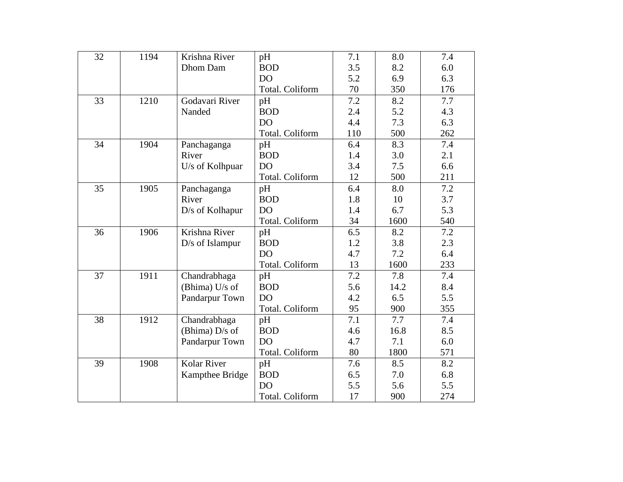| 32 | 1194 | Krishna River      | pH              | 7.1 | 8.0  | 7.4 |
|----|------|--------------------|-----------------|-----|------|-----|
|    |      | Dhom Dam           | <b>BOD</b>      | 3.5 | 8.2  | 6.0 |
|    |      |                    | DO <sub></sub>  | 5.2 | 6.9  | 6.3 |
|    |      |                    | Total. Coliform | 70  | 350  | 176 |
| 33 | 1210 | Godavari River     | pH              | 7.2 | 8.2  | 7.7 |
|    |      | Nanded             | <b>BOD</b>      | 2.4 | 5.2  | 4.3 |
|    |      |                    | DO              | 4.4 | 7.3  | 6.3 |
|    |      |                    | Total. Coliform | 110 | 500  | 262 |
| 34 | 1904 | Panchaganga        | pH              | 6.4 | 8.3  | 7.4 |
|    |      | River              | <b>BOD</b>      | 1.4 | 3.0  | 2.1 |
|    |      | U/s of Kolhpuar    | <b>DO</b>       | 3.4 | 7.5  | 6.6 |
|    |      |                    | Total. Coliform | 12  | 500  | 211 |
| 35 | 1905 | Panchaganga        | pH              | 6.4 | 8.0  | 7.2 |
|    |      | River              | <b>BOD</b>      | 1.8 | 10   | 3.7 |
|    |      | D/s of Kolhapur    | DO              | 1.4 | 6.7  | 5.3 |
|    |      |                    | Total. Coliform | 34  | 1600 | 540 |
| 36 | 1906 | Krishna River      | pH              | 6.5 | 8.2  | 7.2 |
|    |      | D/s of Islampur    | <b>BOD</b>      | 1.2 | 3.8  | 2.3 |
|    |      |                    | DO <sub></sub>  | 4.7 | 7.2  | 6.4 |
|    |      |                    | Total. Coliform | 13  | 1600 | 233 |
| 37 | 1911 | Chandrabhaga       | pH              | 7.2 | 7.8  | 7.4 |
|    |      | (Bhima) U/s of     | <b>BOD</b>      | 5.6 | 14.2 | 8.4 |
|    |      | Pandarpur Town     | <b>DO</b>       | 4.2 | 6.5  | 5.5 |
|    |      |                    | Total. Coliform | 95  | 900  | 355 |
| 38 | 1912 | Chandrabhaga       | pH              | 7.1 | 7.7  | 7.4 |
|    |      | (Bhima) D/s of     | <b>BOD</b>      | 4.6 | 16.8 | 8.5 |
|    |      | Pandarpur Town     | <b>DO</b>       | 4.7 | 7.1  | 6.0 |
|    |      |                    | Total. Coliform | 80  | 1800 | 571 |
| 39 | 1908 | <b>Kolar River</b> | pH              | 7.6 | 8.5  | 8.2 |
|    |      | Kampthee Bridge    | <b>BOD</b>      | 6.5 | 7.0  | 6.8 |
|    |      |                    | DO              | 5.5 | 5.6  | 5.5 |
|    |      |                    | Total. Coliform | 17  | 900  | 274 |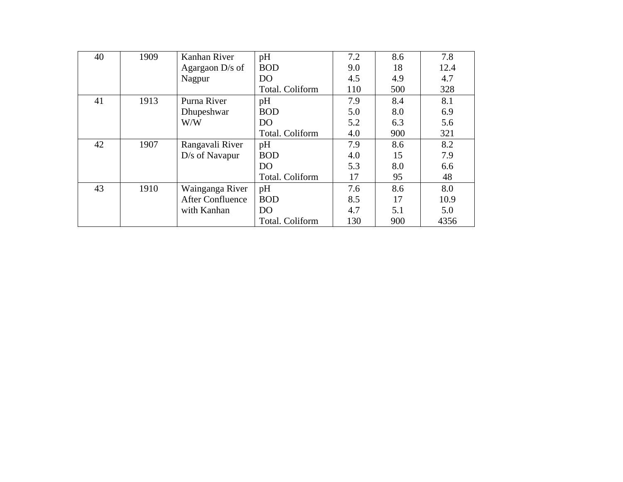| 40 | 1909 | Kanhan River            | pH              | 7.2 | 8.6 | 7.8  |
|----|------|-------------------------|-----------------|-----|-----|------|
|    |      | Agargaon D/s of         | <b>BOD</b>      | 9.0 | 18  | 12.4 |
|    |      | Nagpur                  | D <sub>O</sub>  | 4.5 | 4.9 | 4.7  |
|    |      |                         | Total. Coliform | 110 | 500 | 328  |
| 41 | 1913 | Purna River             | pH              | 7.9 | 8.4 | 8.1  |
|    |      | Dhupeshwar              | <b>BOD</b>      | 5.0 | 8.0 | 6.9  |
|    |      | W/W                     | DO <sub>1</sub> | 5.2 | 6.3 | 5.6  |
|    |      |                         | Total. Coliform | 4.0 | 900 | 321  |
| 42 | 1907 | Rangavali River         | pH              | 7.9 | 8.6 | 8.2  |
|    |      | D/s of Navapur          | <b>BOD</b>      | 4.0 | 15  | 7.9  |
|    |      |                         | D <sub>O</sub>  | 5.3 | 8.0 | 6.6  |
|    |      |                         | Total. Coliform | 17  | 95  | 48   |
| 43 | 1910 | Wainganga River         | pH              | 7.6 | 8.6 | 8.0  |
|    |      | <b>After Confluence</b> | <b>BOD</b>      | 8.5 | 17  | 10.9 |
|    |      | with Kanhan             | D <sub>O</sub>  | 4.7 | 5.1 | 5.0  |
|    |      |                         | Total. Coliform | 130 | 900 | 4356 |